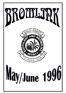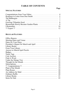# **TABLE OF CONTENTS**

**Page**

## **SPECIAL FEATURES**

# **REGULAR FEATURES**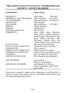# **THE GOLD COAST SUCCULENT AND BROMELIAD SOCIETY - OFFICE BEARERS**

## **PATRONESS Olwen Ferris**

| <b>PRESIDENT</b>                 | John Catlan                       | 5546 1401    |
|----------------------------------|-----------------------------------|--------------|
| <b>IMMEDIATE PAST PRESIDENT</b>  | Mary Nicholson                    | 5572 0993    |
| <b>VICE PRESIDENT</b>            | Graham Besgrove                   | (07)38005431 |
| <b>SECRETARY</b>                 | Diana Hughes                      |              |
| <b>TREASURER</b>                 | Mary Nicholson                    | 5572 0993    |
| <b>EDITOR</b>                    | <b>Wendy Besgrove</b>             |              |
| <b>HOSTESS</b>                   | Jennifer Ross                     |              |
| <b>HOSTESS ASSISTANT</b>         | Olwen Ferris                      |              |
| <b>COMMITTEE</b>                 | John Catlan, Mary Nicholson,      |              |
|                                  | Olwen Ferris, Graham Besgrove,    |              |
|                                  | Diana Hughes, Peter Ludowici, Nev |              |
|                                  | Ryan, Audrey McAlister, Mac       |              |
|                                  | McAlister, Jennifer Ross, Bev     |              |
|                                  | Collins, Bobby Powel, Pat Harrod  |              |
| <b>PLANT SALES</b>               | Mac and Audrey McAlister          |              |
| PLANT SALES ASSISTANTS           | Narelle Rowe & Jo Ketelaar        |              |
| <b>GOODS SALES</b>               | Peter Ludowici                    |              |
| <b>GOODS SALES ASSISTANTS</b>    | Bobby Powel & Nev Ryan            |              |
| <b>LIBRARIAN &amp; ASSISTANT</b> | Jeanette Henwood & Dawn Collas    |              |
| <b>CATERING</b>                  | Inge vom Bruch & Anita Wille      |              |
| RAFFLES SUPERVISOR               | Roy Wenzel & John Borthistle      |              |
|                                  |                                   |              |
| <b>LIFE MEMBERS</b>              | Olwen Ferris                      |              |
|                                  | Rolly & Evelyn Reilly             |              |
| <b>HONORARY MEMBERS</b>          | Jum Daniels, Roy Wenzel,          |              |
|                                  | Genny Vauhkonen, John Catlan,     |              |
|                                  | <b>Bev Collins</b>                |              |

Permission is granted to reprint articles appearing in the Bromlink, in whole or in part, when credit is given to the author and the Gold Coast Succulent and Bromeliad Society.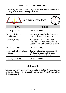## **MEETING DATES AND VENUE**

Our meetings are held at the Uniting Church Hall, Elanora on the second Saturday of each month starting at 1.30 pm.



| DATE                                     | <b>EVENT</b>                                                                                            |
|------------------------------------------|---------------------------------------------------------------------------------------------------------|
| Saturday, 11 May                         | <b>General Meeting</b>                                                                                  |
| Saturday & Sunday,<br>1 and 2 June       | Rotary Landscape Garden Fair-Now<br>postponed to $7 & 8$ September                                      |
| Saturday, 8 June                         | No meeting. Trip to Combined<br>Succulent and Bromeliad Show, Mt<br>Coot-tha Botanic Gardens Auditorium |
| Saturday, 13 July                        | <b>General Meeting</b>                                                                                  |
| Sunday, 21 July, 11.00 am -<br>$2.00$ pm | Trip to Neil and Kay Flemmings, 53<br>Westminster Boulevard, Elanora.<br>Take chair, drinks and eats.   |
| Saturday, 10 August                      | <b>General Meeting</b>                                                                                  |

## **DISCLAIMER**

Opinions expressed in this newsletter are the contributor's own and are not necessarily those of the Committee or the Gold Coast Succulent and Bromeliad Society.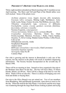Thirty-eight members attended our March meetingwith 31 members at our April meeting. The Show and Tell and Plant of the Month tables were well stocked. Some of the plants were:

*Aechmea purpurea rosea, hoppii, fasciata albo marginata, bracteata rubra variegata*, Shining Light, Shelldancer, Aztec Gold, Lucky Stripe, Fosters favorite, Red Ribbon, *fasciata*, Bert *Tillandsia streptophylla* type, *vernicosa* (2 different), *brachyphylla, cyanea, crocata, gardneri, tectorum, flabellata, fasciculata, seleriana x ionantha* Neomea Exquisita, *comarapaensis Vriesea morreniana, bleheri, sucrei, carinata* (Brazil) *Cryptanthus fosterianus*, Starwine, Green Ice, Glad, Frostie,Lacerdae, Shimmer, *bivittatus*, v Ruby, Cherry Sundae, Osyanus, Ti, Silver Lining, Madam Ganna Walska, Coffee Royal, Cafe au lait Orthophytum saxicola, viridis Neophytum Burgundy Ananus nanus *Billbergia venezuelana x macrocalyx*, Glad Lawerance *Guzmania lingulata supurba Neoregelia* Anna No.40 Canmea Majo

Our club is growing and the interest in Bromeliads is only one of the reasons, but the interest in the plants will result in members dispensing information. The Society became Incorporated on the seventh day of March 1996.

There will be no meeting in June. Instead we have organised a bus trip to the Brisbane June Show for the day. The bus will leave Mary, 55 Dawn Parade, Miami, at 8.00 am. There will be a charge at the door to view the Show. Plants will be on sale also. There is a choice of bringing your own food and drinks or buying there.

Our trip to the Olive Branch was not rained out. Two of our members from Bundaberg, Mal and Rhonda Symmonds, came down to meet us for the day. When the mob hit the Sale Plants, it was hectic and the next stage was wandering through the large Bush House looking at plants and trying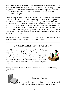to find pups to satisfy demand. When the members discovered a new shed to buy plants from, the cry went up, "I've spent all my money." Thank you, Olive and Len. The members enjoyed the visit. If you want to see the Olive Branch, phone (07) 3351 1203 to make an appointment. Olive would love to see you.

The next stop was for lunch at the Brisbane Botanic Gardens at Mount Coot-tha. Then a quick stop off on the way home to see Mike Symmons, one of our members. His interest is mainly species orchids but his collection of Bromeliads is excellent. The members enjoyed the afternoon tea. The raffle was drawn at Mike's place and our BundabergÏmembers won four out of ten prizes. Thanks, Mike. The members parted with the last of their small change. Sorry about that Mike, but they requested another visit after they have saved up. If you want to visit Mike's place, phone (07) 5546 7300.

Special Raffle. A tablecloth and three spoons from New Zealand have been donated by Bobby Powell for a Special Raffle.

# **CONGRATULATIONS FROM YOUR EDITOR**

I would like to congratulate the members of the Gold Coast Succulent and Bromeliad Society Inc for their contributions to Bromlink. You have contributed enough articles and material for the last two editions of Bromlink to have only original articles printed. Ithink it's wonderful that we don't need to rely on reprinted articles from otherÏjournals to make up sufficient pages for Bromlink.



Again, congratulations, well done, thank you so much and keep up the great work.



# **LIBRARY BOOKS**

There are still outstanding Library Books. Please check to make sure you haven't forgotten you have one.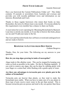## **FROM YOUR LIBRARY**

Jeanette Henwood

Have you borrowed the Current Publications Folder yet? This folder contains 10 journals or newsletters from Australia and overseas and provides you with recently published views and information on our interests, Bromeliads and Cacti.

Thanks to those regular borrowers who return their books on time. Remember, the term of a library loan is one month. If everyone abides by this requirement every member has a chance to share our books.

A reservation list is now operating for Blooming Bromeliads by Baensch. Loan time is strictly one month, so if you like to borrow this book, please see me and I'll add your name to the list.

The Cacti and Succulent books have all been covered and catalogued now and are ready to borrow.

## **RESPONSE TO LETTER FROM DON SMITH**

Graham Besgrove

Thanks, Don, for your letter. The following are my answers to your questions.

### **How do you stop algae growing in tanks of neoregelias?**

Algae tends to like alkaline water. This can be stopped by keeping your water as fresh as possible in the tanks. Do this by flushing regularly. If you wish to remove any algae, this can be done by rubbing gently with your finger or a cotton bud, while flushing with a gentle spray of water.

#### **Are there any advantages to terracotta pots over plastic pots in the culture of bromeliads?**

Terracotta pots are heavier than plastic, so they tend to make the bromeliads more stable. What you have to make sure of is any plants in these type of pots receive more water in the pot than normal. This is because terracotta pots are porous and tend to dry out quicker than those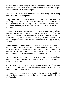in plastic pots. Black plastic pots tend to keep the roots warmer on plants than terracotta pots. Green leafed Tillandsias, Orthyphytums and Catopsis seem to do very well in terracotta pots.

### **I'm told not to use white oil on bromeliads. How do I get rid of a tiny black scale on Aechmea plants?**

Using white oil on bromeliads is an absolute no no. If used, this will block up or clog up the scales which are on the leaves of all bromeliads and the plant will die by suffocation. If you wish to eliminate these black spots, commonly call Fly Speck Scale, Ïyou can use products such as Dysiston 5 or Clensel.

Dysiston is a systemic poison which you sprinkle into the cup ofÏyour infected plant and then water it in. This is then taken upinto the plant through its leaves making it poisonous to sap sucking insects. When they go for lunch, they pierce the plant and suck up the juice which will kill them. This procedure will need to be done three times over approximately 10 weeks.

Clensel is more of a contact poison. You have to be more precise with this product. This product is safer then Dysiston and has a nice Citronella smell. This one works by smothering and suffocating the insect under the little black shell. This is mixed with water and then sprayed all over the plants. It froths up like dishwashing liquid but don't panic.

The way to tell if the scale is dead is if you gently flick it withÏyour fingernail, if it leaves a wet streak behind then it is fresh. If there is no wet streak, then it is dead.

NB: Word of warning!! When using Dysiston, always use aÏvery good mask. Don't breath in the fumes as this will makeÏyou extremely ill. Take it from someone it happened to.

I hope this answers your questions and invite anyone who would like toÏadd to these comments, please write in so they can be published in the next Bromlink.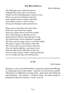## **THE BILLBERGIAS**

### Mary Nicholson

The billbergias were a plant first grown, Although their name was not yet known. Nutans was the friendship plant or Queens Tears Iffsets were given to friends far and near. From tubular rosette to small or tall tubes. These plants come in a variety of hues. From green through to plum and dark red..

Many crosses from these have been bred. Some have spots other have bands. Some have spines that are not kind to hands. This is their defence so that they survive. Back at home in Brazil where they grow wild. The inflorescence can be pendulous or upright The bracts can be orange, pink or a red that's bright The petals of green, violet, gold or dark blue The colours must be seen to believe their hue. They are mainly epiphytes , growing on trees From the high forests right down to the seas. There are many shapes, colours, marking and sizes It is no wonder they take off with the prizes.

## **A TIP**

Paul Schacht

Being new to the world of Bromeliads, Isometimes experienced difficulty in cutting pups from mother plants. Secateurs were not always suitable. Often there were difficulties in using a knife. And various other blades all had limitations. The solution? A hacksaw blade. Its small enough for getting into tight areas and gives a clean, neat cut.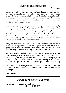## **GROWING TILLANDSIA SEED**

Olwen Ferris

You have decided to start growing your bromeliads from seed, and they have just arrived in the post. The little packets look exciting and you start to look closer. Be careful, and place yourself out of a draught, the fluffy down attached to each seed can take off and fly some way before coming to a halt. In nature this can take each seed some way from the parent tree, and this is what you don't need.

One method you can use for a germinating base, is to wire a frame toÏslip into the end of a foot of pantyhose. Cut off about 12 inches of foot and leg and pull tight. The end of the wire is made into a hook for suspension and can be bent to hang the planted area flat for planting while the surface is flat. A wire hook can be placed on the other end, so that the planted stocking can be hung somewhere near a tap and watered lightly every hour or so on the first day. One of those spray bottles you have to damp down clothes as you iron then comes in handy here.

You get a shock when first you see your seed! It can fly away from you with its silken appendages. Lay it carefully where you want it to stay and gently spray it with water until it settles down where you need it. Watch that you spray again before it is dry and decides to take off.

It takes several days before it decides to stay put and then it can be several weeks before green leaves start to grow. You can now do away with the second hook, and change the main hook so that the planting is grown upright but you still have to be careful with the watering so that the little plantlets don't get washed off before the roots go down into theÏstocking.

Ithin them out as the roots grow and with strips of nylon stocking, tie them onto small branches or sticks. Remember to labelled them with name and date of planting.

To be continued.

# **ANSWER TO MARCH/APRIL PUZZLE**

The answer to March/April puzzle is: LOVES HUMIDITY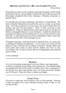### **BROMELIADS SLOWLY BECAME GARDEN PLANTS** Olwen Ferris

Bromeliads are native to the temperate and tropical regions of both North and South America. The pineapple would be the most widely grown of all Bromeliads alongÏwith the lovely interloper, Tillandsia usneoides or Spanish Moss.

It is thought they had their beginning, somewhere in South Brazil. The fruits of another Bromeliad are used by the natives to make an alcoholic drink. The long, tough leaves of some types, are used to obtain fibres for making rope and weaving baskets. Some of their weaving is truly magnificent. Drugs are obtained from some species and a by-,product of Hawaii's pineapple industry is a meat tenderiser. Another by-product has been discovered that cuts the healing time for severe burns down by more than half. A small industry has also been established to make a linen-like material from the fibre of the pineapple leaves.

Tillandsia usneoides, commonly known as Spanish Moss, was once used as stuffing for bedding and upholstery. It was a source of revenue for the Indians living in and near the Everglades in Florida. Sponge rubber and foam plastic have taken its place and the Indians now have to take Government Aid. Its sad to see how the loss of independence has affected many of them.

To be continued.

### **BADGES**

As we are becoming incorporated in the near future, your opportunity to obtain an original society badge is fast running out. The original badge was designed by Olwen Ferris and it would be nice to have a memento of the Society at its early stage and the way it was when you joined. Badges cost \$3.00 each. Please see Mary to obtain your badge.

## **NAME TAGS**

If you have a name tag, will you please wear it to the meetings. Wearing a name tag makes for a more informal meeting which is what we are striving to offer.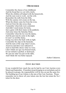## **I REMEMBER**

I remember the cheese of my childhood, And the bread that we cut with a knife, When the children all helped with the housework, And the men went to work , not the wife. Remember the milk from the billy, With the yummy rich cream on the top, When the dinner came hot from the oven. And not from the take-away shop. I remember when kids were contented, And didn't need money for kicks, Just a game with their mates in the paddock, And some times the Saturday flicks. I remember when the loo was the dunny, And the pan man he came in the night, It wasn't so terribly funny, Going way down the back with no light. I remember the slap on the backside, And the taste of the soap when I swore, Anorexia and diets were unheard of, And we had little choice what we wore. I don't think our ego was bruised much, Or our initiative quelled, or destroyed, We just ate what was put on the table, And I think life was better enjoyed.

Author Unknown.

# **CENT AUCTION**

It was wonderful how much fun can be had by our Cent Auction every March and September. If members keep bringing in several plants each to be placed in groups, the responsibility will be less on just the same few. The building up of our Library is the aim of the Cent Auctions. Please remember not to throw all your tickets into the lots but retain the No.1 ticket for the draw.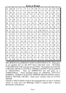**FIND-A-WORD**

|              |                           |               |                |                |              | ** * *       |             | <b>VIW</b>    |   |              |                |                           |                |              |
|--------------|---------------------------|---------------|----------------|----------------|--------------|--------------|-------------|---------------|---|--------------|----------------|---------------------------|----------------|--------------|
| S            | M                         | E             | $\overline{V}$ | I              | $\mathbf T$  | A            | N           | B             | U | $\mathbf{A}$ | E              | S                         | $\overline{O}$ | $\mathbf R$  |
| $\mathbf{A}$ | $\mathbf R$               | L             | A              | I              | E            | $H_{\rm}$    | O           | $\mathbf R$   | R | $\mathbf I$  | D              | A                         | E              | $\mathbf L$  |
| $\mathbf I$  | M                         | A             | $\mathbf R$    | $\overline{O}$ | N            | $\bf I$      | M           | A             | E | T            | U              | L                         | ${\bf P}$      | W            |
| G            | E                         | R             | E              | L              | $\rm I$      | E            | $\mathbf T$ | Z             | E | $\bf I$      | A              | A                         | $\rm I$        | $\, {\bf B}$ |
| $\mathbf R$  | $\boldsymbol{\mathrm{X}}$ | $\mathbf T$   | S              | $\rm I$        | L            | A            | D           | $\bf I$       | M | A            | $\mathbb{R}$   | Y                         | ${\bf P}$      | $\mathbf R$  |
| E            | $\bf I$                   | ${\bf N}$     | U              | T              | A            | N            | S           | L             | T | E            | G              | R                         | $H_{\rm}$      | A            |
| B            | $\mathcal{C}$             | E             | L              | Y              | L            | N            | I           | A             | M | M            | E              | A                         | Y              | S            |
| $\mathbf{L}$ | $\mathbf O$               | $\mathcal{C}$ | $\mathbf T$    | N              | $\rm I$      | R            | E           | Y             | E | M            | N              | $\bf J$                   | T              | $\rm I$      |
| $\mathbf{L}$ | $\rm K$                   | S             | S              | L              | G            | B            | W           | O             | R | G            | T              | ${\bf P}$                 | E              | L            |
| $\mathbf I$  | ${\bf E}$                 | $\mathcal{C}$ | ${\bf P}$      | Q              | $H_{\rm}$    | A            | ${\bf N}$   | $\mathbf I$   | R | G            | $\rm I$        | $\mathbf T$               | S              | $\rm I$      |
| B            | $\mathbf R$               | $\bf I$       | G              | H              | $\mathcal T$ | E            | L           | ${\bf E}$     | G | A            | N              | S                         | B              | E            |
| V            | A                         | $\mathbf R$   | A              | M              | E            | $\mathbb{R}$ | I           | $\mathcal{C}$ | A | $H_{\rm}$    | A              | N                         | A              | ${\bf N}$    |
| $\mathbf O$  | A                         | N             | E              | O              | M            | A            | $\mathbf T$ | A             | T | T            | I              | $\boldsymbol{\mathrm{V}}$ | N              | S            |
| W            | W                         | E             | $\mathbf I$    | P              | P            | E            | R           | $\bf I$       | I | P            | $\overline{O}$ | F                         | A              | $\mathbf I$  |
| ${\bf T}$    | E                         | $\mathbf R$   | $\mathbf R$    | E              | S            | $\mathbf T$  | R           | $\bf I$       | A | L            | E              | $\mathbf N$               | K              | ${\bf S}$    |

BILLBERGIAS need BRIGHT LIGHT for BEST RESULTS . Many grew in our gardens but we did NOT know what they were - NUTANS, PYRAMIDALIS VAR concolor are just TWO. These plants are NATIVE to BRAZIL, MEXICO, CENTRAL AMERICA MAINLY but also GROW in ARGENTINA. They are EPIPHYTES but will grow as a TERRESTRIAL. These beautiful plants are AMOENA, VITTATA, HORRIDA, TIGRINA, ELEGANS, EIPPERII, BRASILIENSIS, NANA, ROSEA, MEYERI, LIETZEI. Some have varieties such as LUTEA, MINOR.

Find the CAPITALISED words in the paragraph above to leave 14 letters which, in order, give the Billbergia which is named after a famous Bromeliad world person.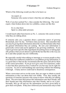### **?? EXPERT ??**

Which of the following would you like to be know as:

An expert; or Someone who seems to know what they are talking about.

Well, if you have picked No.1, then consider the following. The word expert, when broken down into two syllables, comes out like this:

> Ex is a has been Spurt is a drip under pressure.

I would much rather been known as No. 2 , someone who seems to know what they are talking about.

If someone asks you a question about a particular aspect of growing Bromeliads, don't be shy. Tell them what you know. But remember that you may be giving them information about the way Bromeliads rather than the general information they are seeking. Be sure your information is generically correct and can be applied to any growing conditions. If you want to get more specific (like ingredients for potting mixes or taking pups off), preface what you are about to sayÏwith the fact that this is the way you do it and other people may do it differently.

Be especially careful when talking to interstate or overseas people as they most likely have different conditions to you.ÌÌWhen giving information, it is a good idea to find out the circumstancesÏof the query and advise them of the correct procedure. If you go on to give your own experience, make it clear that these practices have worked for you but may not be right for everyone. Try not to rush headlong into answering without first thinking it through. A hasty answer could lead to disastrous consequences.

When a newcomer arrives on the scene, they are eager to obtain as much information as they can about their new hobby. First, they usually ask questions of someone (anyone) who seems to know what they are talking about. The newcomer then passes this information onto their friends, and their friends pass that information onto their friends, and so on it goes. Secondly, they go off and use the information you have given them to grow their own plants. If they have followed your instructions only to find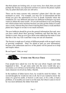that their plants are looking sick, or even worse, have died, then you (and perhaps the Society you represent) will have to answer the please explain why my plant died and yours are still alive.

There can be many reasons why someone's plants don't like the same treatment as yours. For example, you may live in Queensland and the friend you gave the information to lives in South Australia where the conditions are very different and must use different techniques (eg more water) to obtain the same results. Or you advised them to use your potting mix which retains more moisture because you only get the chance to water once a week, whereas they have been watering three times a week and their plants have begun to rot due to too much moisture.

The new hobbyist should be given the general information first and, once you have asked about their growing conditions and find that they are similar to yours, then go on to give them some added tips but make it clear that this is the way I do it and that it may not suit all situations.

The Society is made up of variety of different people with an equal variety of growing conditions. Don't be afraid to pass on your information, because your enthusiasm and love of the plants will be passed on to help and inspire others.

Be an Expert? Huh, no way!



John Catlan

Four people have asked me over the last year about Angelo and what happened to him. To get some order into the story would take up a newsletter, so it will have to be brief but, firstly you have to understand the main character involved my father, Harold..

In the tradition of father knows best, he would be rated for failure. On second thoughts he would not rate at all, but if you wanted to know the name of a good tin smith, or borrow a cork sizer, or fix a rifle, or had a problem, or in trouble you went to see the man; but when it came to travel he was most definitely the father from hell.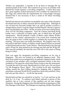Thelma, my stepmother, I consider to be up there in amongst the ten smartest people in the world. She would never go away on a holiday with Harold but would organise a travelling companion. I realise they must have gone together on their honeymoon, but I wouldn't be surprised if at this stage she realised that the requirements for a long happy marriage dictated that it was necessary to have a stand in for future travelling occasions.

Harold only had one arm and that was probably why some of the situations developed and why in others someone did not strangle him. Although on one occasion his favourite brother had a go and on another occasion a trumpet player tried to wrap his fingers around Harold's throat to squeeze the living daylights out of him. On the occasion of his trip to Hong Kong, Nick was his travelling companion. Near the Chinese and Hong Kong border were a collection of traders stalls, one of which bore the proud entrepreneur. Harold plonked a bottle of Black Label Johnny Walker whiskey on the counter, announced he is his cousin from Australia and they are going to have a drink together to celebrate the occasion of their meeting. The poor man was totally bewildered. His English wasn't the best and he had half a bottle of whiskey inside himself before he pointed to Harold and said you don't look Chinese. Harold pointed to the sign and said re Wing On, then pointed to his missing arm and said Me Wing Off. This man has probably devoted the rest of his life to the return of Hong Kong to China.

Nick was again his designated travelling companion on his trip to Singapore. The tour was treated to an authentic Japanese meal. This three-hour ordeal was accompanied by an authentic Japanese band, which consisted of one member with a stringed instrument which, to the tour, sounded as if he spent the whole three hours trying to tune the instrument. Towards the end of the meal, Harold asked in a loud voice, Do you know Tie Me Kangaroo Down, Sport? This resulted in 60 ugly Australians rolling around the floor killing themselves laughing and a Japanese entertainer reckoned World War II would have been truly justified, if they had only got that white b.....d with the big mouth.

Harold believed that you should be in bed by 7 or 8 pm and feet on the deck by 3 to 4 am. To embrace such habits indicates a person of fine qualities, but at 4 am a person of fine qualities can run into strange situations. During the Singapore trip, Harold made the acquaintance of the DayManager of the Hotel. The Manager on enquiring whether Harold had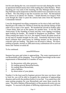lost his arm during the war, was assured it was not only during the war but in operations behind enemy lines while leading the Catlan Raiders. When checking out very early in the morning, the Day Manager had the entire DayStaff line up for inspection so Harold could review each and every one of them. The only thing to mar the occasions was Nick. He had packed the camera so no photos for Thelma. I doubt Harold ever forgave Nick even though the order to pack the camera had come from the Supreme Commander himself.

I was his designated travelling companion on his trip to Italy and Sicily. Harold gave the orders for Thelma to book the trip and the timing of that order was to cause a few upsets. We boarded the aircraft in Sydney after 1 hours delay, then sat on the tarmac for another hour. It was the 20th Anniversary of the founding of Israel and they were ripping everything apart looking for bombs. We landed in Singapore no problems. Then when coming into land a Tel Aviv, the engines roared, the plane stood on its tail and we headed straight for the stars. Somebody had tried to help Israel celebrate their anniversary by lobbing mortars on the airstrip to coincide with our landing. The plane was diverted to Athens. We knew nothing of bombs, mortars or 20th anniversary celebrations till we arrived home and Thelma revealed all.

To be continued.

#### ooooOOOOoooo

Summer has gone and winter is approaching. The water requirements of our Bromeliads will be changing. You will gather knowledge on the water requirements of Bromeliads in a number of ways:

- 1. by discussions with other growers;<br>2. by reading general Bromeliad book
- 2. by reading general Bromeliad books;<br>3 by reading about Bromeliads:
- 3. by reading about Bromeliads;<br>4 mative habitats:
- 4. native habitats;<br>5 by observation
- by observation of your plants.

Number 4 is the least used by beginner growers but once you know what to look for, you will be able to recognise the symptoms of approaching disasters and rectify the problem before it is too late. You cannot have the same potting program for your Bromeliads and water them exactly the same. The native habitat of Bromeliads is of the greatest diversity you can imagine. To succeed with plants of differing requirements you will have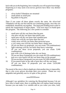luck with you in the beginning, but eventuallyyou will acquire knowledge. Surprising as it may seem even novice growers have three very distinct programs:

- 1. silver leafed Tillandsias are mounted<br>2. small plants in small pots
- 2. small plants in small pots<br>3 big plants in highests
- big plants in big pots.

Then if you water all these plants exactly the same, the silver-leaf Tillandsias will dry out first and the two remaining groups, once they are established, should dry out together. The large pots holding more water to satisfy the requirement of larger plants. Your next step is to build upon this program. The following are a few points to consider:

- 1. small pots will dry out faster than big pots<br>2. clay nots will dry out faster than plastic po
- 2. clay pots will dry out faster than plastic pots<br>3 squat pots will dry out faster than standard po
- 3. squat pots will dry out faster than standard pots<br>4. coarse mix will dry out faster than fine mix
- 4. coarse mix will dry out faster than fine mix
- 5. windy areas will dry out faster than protected areas<br>6 a very sunny area will dry out faster than a shady are
- a very sunny area will dry out faster than a shady area (If you use these six proposals, you can create 720 combinations)
- 7. light waterings will dry out faster than heavy waterings (If you use these seven proposals, you can create 5,040 combinations)
- 8. pots with a lot of drainage holes dry out faster (If you use these 8 proposals you can create 40,320 combinations)
- 9. pots on a wire bench will dry out faster than on the ground (If you use these 9 proposals you can create 362,880 combinations)
- 10. If you punch holes in the side of pots they will dry out faster (If you use these 10 proposals you can create 3,628,800 combinations).

The moral of the story is that to duplicate what another does is impossible, that is why every grower develops their own system. Plants are very adaptable and generally survive in spite of the grower.

#### ooooOOOOoooo

Although I use sprinklers for watering the Bromeliads because I do not have time to hand water, there is nothing that will replace hand watering because you can make it so variable and as you water you relax, look,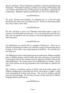observe and learn. When I changed to sprinklers, under the sprinklers bugs flourished. With hand watering, you blast a lot of bugs off the plants and a lot of these died before they could get back on the plants, especially the young bugs. Sprinkler sprays are generally too soft to accomplish this.

#### ooooOOOOoooo

We grow Dyckias and Hechtias in standard pots in a fine but open terrestrial mix and try not to let them dry out. The mix is finer than perlite but coarser than coarse sand.

#### ooooOOOOoooo

We have decided to grow our Tillandsia fasciculata types in pots in a mixture of orchid bark and charcoal. If we are prepared to pay \$\$ for a pup, why not spend \$1 for mix and give it the best opportunity to survive and look good.

#### ooooOOOOoooo

Our Billbergias are started off in a standard 150mm pot. There are no particles of potting mix under 1cm with the average 2cm and some pieces as large as 3cm with a very small amount of fertiliser. We call this mix our large mix.

The Billbergias in the watch spring group are potted into 300mm standard pots or 300mm baskets with the same open mix and pieces of styrofoam in the bottom half of the container and we add more fertiliser than in the other Billbergias. We want to grow all our Billbergias in clumps. That is one of the reasons for the big containers and it also helps to stabilise the plants.

The *Aechmea orlandiana* group of plants and look-a-like plants into 200mm standard pots with large mix but to the bottom is added 1 large rock surrounded by broken styro boxes. The rock for stability and the styro for extra drainage. All *Aechmea Ensigns* are the same but in 200mm hanging baskets and hung up.

#### ooooOOOOoooo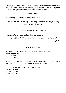The large Aechmeas into 300mm pots and larger the bottom of the pots lined with half house bricks standing on their ends. The rest large mix with broken styro boxes in bottom half of the container.

#### ooooOOOOoooo

God willing, you will hear from us next issue.

*The current trend is towards shorter honeymoons, but more of them.*

### **THOUGHT FOR THE MONTH**

*In friendship we find nothing false or insincere; everything is straightforward and springs from the heart.* 

*Cicero*

#### **SUBSCRIPTIONS**

All subscriptions were due at the October meeting each year. Subscriptions are:

| .      |        |
|--------|--------|
| Family | \$6.00 |
| Single | \$4.00 |

If you require postage of your newsletters, please forward 6 (six) current price stamps. For all postal members, please send your subscription to:

Gold Coast Succulent and Bromeliad Society c/- Mary Nicholson 55 Dawn Parade MIAMI Q 4220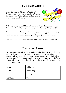# **!! CONGRATULATIONS !!**

Happy Birthday to Margaret Dumble, Bobby Powell, Mary Toth, Marion Gardyne, Graham Besgrove, Jack Willow, Eddie Collas, Clarrie Morrow and Jum Daniels.



Welcome to Trevor and Marion Gardyne, Patricia Zimmerman, John Whitworth of Rockhampton, Jarka and Nina Rehak of Miranda, NSW.

Will you please make sure that we have your birthdays as we are trying to include all members with a personal greeting. Just the date and month, we are not worried about the year (we all have our secrets).

This can be send to Mary Nicholson at 55 Dawn Parade, MIAMI Q 4220.

## **PLANT OF THE MONTH**

For Plant of the Month, could you please bring in some plants from the nominated genera for that month. Remember that the plant doesn't necessarilyhave to be in flower, we also grow Bromeliads for their foliage. This segment of our meeting is to help us to learn to identify the different genera and perhaps see the diversity within that genera. The genera for the coming months are:

| <b>MAY</b>    | Billbergia |  |  |
|---------------|------------|--|--|
| <b>JUNE</b>   | No meeting |  |  |
| <b>JULY</b>   | Vriesea    |  |  |
| <b>AUGUST</b> | Guzmania   |  |  |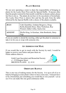# **PLANT ROSTER**

We are now operating a roster to share the responsibility of bringing in plants for the Lucky Door Prize and the Special Raffle. If anyone other than the people rostered for that month would like to donate a plant, please feel free to do so. The plants do not have to be succulents or bromeliads. The Lucky Door Prize is drawn first and has the pick from the table followed by the Special Raffle with a choice of the plants available.

| <b>JULY</b>   | Cath Chumbley, Graham Besgrove, Doug<br>Reilly, <i>Uennifer Ross</i> , Mary Nicholson, Roy<br>Wenzel, Eddie Collas, SueLevine |
|---------------|-------------------------------------------------------------------------------------------------------------------------------|
| <b>AUGUST</b> | Phyllis King, Jo Ketelaar, John Borthistle, Betty<br>Page                                                                     |

If you are unable to attend the meeting, either get the plant to someone to take it in for you or swap with someone else.

## **AN ADDRESS FOR MAIL**

If you would like to get in touch with the Society by mail, I would be happy to receive your letters and pass them on. Please address them to:

> Gold Coast Succulent and Bromeliad Society c/- 19 Ellington Street BROWNS PLAINS Q 4118



# **ORDINARY RAFFLE**

This is one way of making money for the Society. It is up to all of us to help by bringing in some plant/s when we have extra ones. It doesn't have to be a bromeliad, just something you would like to win yourself. Let us see if we can make this one good continuous raffle.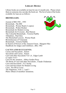# **LIBRARY BOOKS**

Library books are available on loan for one (1) month only. Please return them so someone else can take the book out. The list of some of the books available for loan are as follows:

### **BROMELIADS:**

Journal of BSI 1981 , 1993 Bromeliads , The BSI Bromeliads , Werner Rauh (2 copies) Bromeliads , Walter Richter Bromeliads for Modern Living Bromeliads for Everyone , Bea Hanson The Colourful Bromeliads , Victoria Padilla Tillandsias , Paul Isley The Bromeliad Lexicon , Werner Rauh Bromeliaceaes of Venezuela Bromeliads , Victoria Padilla In Search of Flowers of the Amazon Forest , Margaret Mee Handbook for Judges and Exhibitors , BSI, 1982

## **CACTUS AND SUCCULENTS:**

Cactus and Succulents , Sunset Succulents and Cactus , Sunset Cacti and other Succulents Vol 1,6 , Edgar Lamb (2 copies Vol 5 Cacti for the Amateur , Abbey Garden Press The Book of Cacti and other Succulents , Claude Chidamian Cacti and Succulents , E.E. Kemp Cacti and Succulents for Modern Living Cacti , Sir Oliver Leese The Stapelieae, Vols 1, 2 and 3 Photo Album of members' donations.